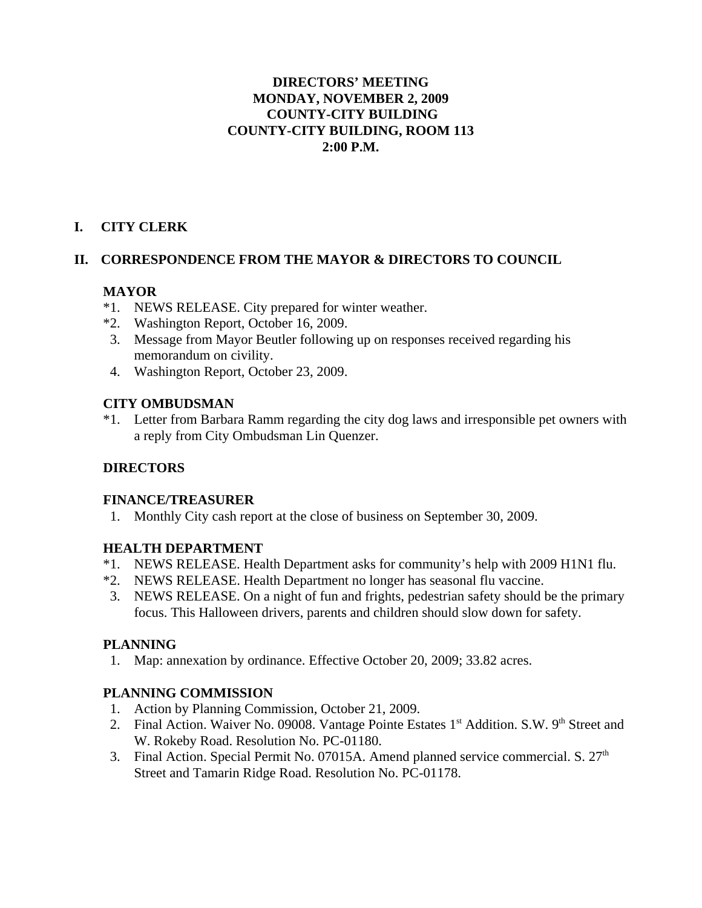#### **DIRECTORS' MEETING MONDAY, NOVEMBER 2, 2009 COUNTY-CITY BUILDING COUNTY-CITY BUILDING, ROOM 113 2:00 P.M.**

# **I. CITY CLERK**

### **II. CORRESPONDENCE FROM THE MAYOR & DIRECTORS TO COUNCIL**

### **MAYOR**

- \*1. NEWS RELEASE. City prepared for winter weather.
- \*2. Washington Report, October 16, 2009.
- 3. Message from Mayor Beutler following up on responses received regarding his memorandum on civility.
- 4. Washington Report, October 23, 2009.

### **CITY OMBUDSMAN**

\*1. Letter from Barbara Ramm regarding the city dog laws and irresponsible pet owners with a reply from City Ombudsman Lin Quenzer.

# **DIRECTORS**

### **FINANCE/TREASURER**

1. Monthly City cash report at the close of business on September 30, 2009.

# **HEALTH DEPARTMENT**

- \*1. NEWS RELEASE. Health Department asks for community's help with 2009 H1N1 flu.
- \*2. NEWS RELEASE. Health Department no longer has seasonal flu vaccine.
- 3. NEWS RELEASE. On a night of fun and frights, pedestrian safety should be the primary focus. This Halloween drivers, parents and children should slow down for safety.

### **PLANNING**

1. Map: annexation by ordinance. Effective October 20, 2009; 33.82 acres.

### **PLANNING COMMISSION**

- 1. Action by Planning Commission, October 21, 2009.
- 2. Final Action. Waiver No. 09008. Vantage Pointe Estates 1<sup>st</sup> Addition. S.W. 9<sup>th</sup> Street and W. Rokeby Road. Resolution No. PC-01180.
- 3. Final Action. Special Permit No. 07015A. Amend planned service commercial. S.  $27<sup>th</sup>$ Street and Tamarin Ridge Road. Resolution No. PC-01178.